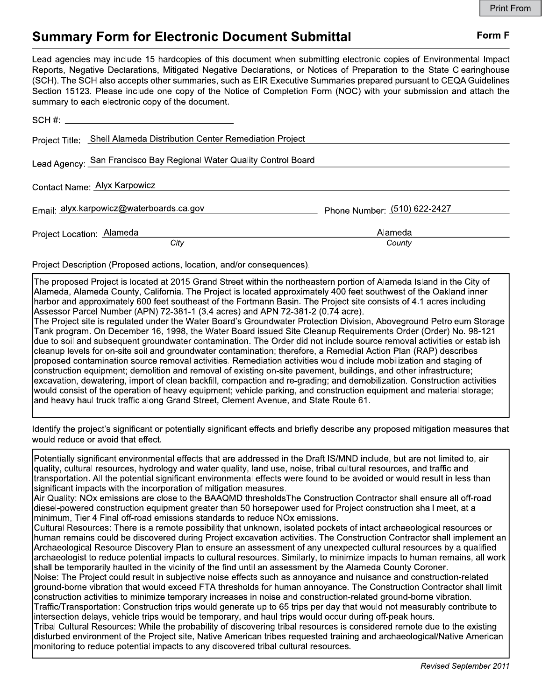## **Form F**

## **Summary Form for Electronic Document Submittal**

Lead agencies may include 15 hardcopies of this document when submitting electronic copies of Environmental Impact Reports, Negative Declarations, Mitigated Negative Declarations, or Notices of Preparation to the State Clearinghouse (SCH). The SCH also accepts other summaries, such as EIR Executive Summaries prepared pursuant to CEQA Guidelines Section 15123. Please include one copy of the Notice of Completion Form (NOC) with your submission and attach the summary to each electronic copy of the document.

|                              | $SCH \#$ : $\qquad \qquad$                                           |                              |
|------------------------------|----------------------------------------------------------------------|------------------------------|
|                              | Project Title: Shell Alameda Distribution Center Remediation Project |                              |
|                              | Lead Agency: San Francisco Bay Regional Water Quality Control Board  |                              |
| Contact Name: Alyx Karpowicz |                                                                      |                              |
|                              | Email: alyx.karpowicz@waterboards.ca.gov                             | Phone Number: (510) 622-2427 |
| Project Location: Alameda    | City                                                                 | Alameda<br>County            |

Project Description (Proposed actions, location, and/or consequences).

The proposed Project is located at 2015 Grand Street within the northeastern portion of Alameda Island in the City of Alameda, Alameda County, California. The Project is located approximately 400 feet southwest of the Oakland inner harbor and approximately 600 feet southeast of the Fortmann Basin. The Project site consists of 4.1 acres including Assessor Parcel Number (APN) 72-381-1 (3.4 acres) and APN 72-381-2 (0.74 acre).

The Project site is regulated under the Water Board's Groundwater Protection Division, Aboveground Petroleum Storage Tank program. On December 16, 1998, the Water Board issued Site Cleanup Requirements Order (Order) No. 98-121 due to soil and subsequent groundwater contamination. The Order did not include source removal activities or establish cleanup levels for on-site soil and groundwater contamination; therefore, a Remedial Action Plan (RAP) describes proposed contamination source removal activities. Remediation activities would include mobilization and staging of construction equipment; demolition and removal of existing on-site pavement, buildings, and other infrastructure; excavation, dewatering, import of clean backfill, compaction and re-grading; and demobilization. Construction activities would consist of the operation of heavy equipment; vehicle parking, and construction equipment and material storage; and heavy haul truck traffic along Grand Street, Clement Avenue, and State Route 61.

Identify the project's significant or potentially significant effects and briefly describe any proposed mitigation measures that would reduce or avoid that effect.

Potentially significant environmental effects that are addressed in the Draft IS/MND include, but are not limited to, air quality, cultural resources, hydrology and water quality, land use, noise, tribal cultural resources, and traffic and transportation. All the potential significant environmental effects were found to be avoided or would result in less than significant impacts with the incorporation of mitigation measures. Air Quality: NOx emissions are close to the BAAQMD thresholdsThe Construction Contractor shall ensure all off-road

diesel-powered construction equipment greater than 50 horsepower used for Project construction shall meet, at a minimum, Tier 4 Final off-road emissions standards to reduce NOx emissions.

Cultural Resources: There is a remote possibility that unknown, isolated pockets of intact archaeological resources or human remains could be discovered during Project excavation activities. The Construction Contractor shall implement an Archaeological Resource Discovery Plan to ensure an assessment of any unexpected cultural resources by a qualified archaeologist to reduce potential impacts to cultural resources. Similarly, to minimize impacts to human remains, all work shall be temporarily haulted in the vicinity of the find until an assessment by the Alameda County Coroner. Noise: The Project could result in subjective noise effects such as annoyance and nuisance and construction-related

ground-borne vibration that would exceed FTA thresholds for human annoyance. The Construction Contractor shall limit construction activities to minimize temporary increases in noise and construction-related ground-borne vibration. Traffic/Transportation: Construction trips would generate up to 65 trips per day that would not measurably contribute to intersection delays, vehicle trips would be temporary, and haul trips would occur during off-peak hours.

Tribal Cultural Resources: While the probability of discovering tribal resources is considered remote due to the existing disturbed environment of the Project site, Native American tribes requested training and archaeological/Native American monitoring to reduce potential impacts to any discovered tribal cultural resources.